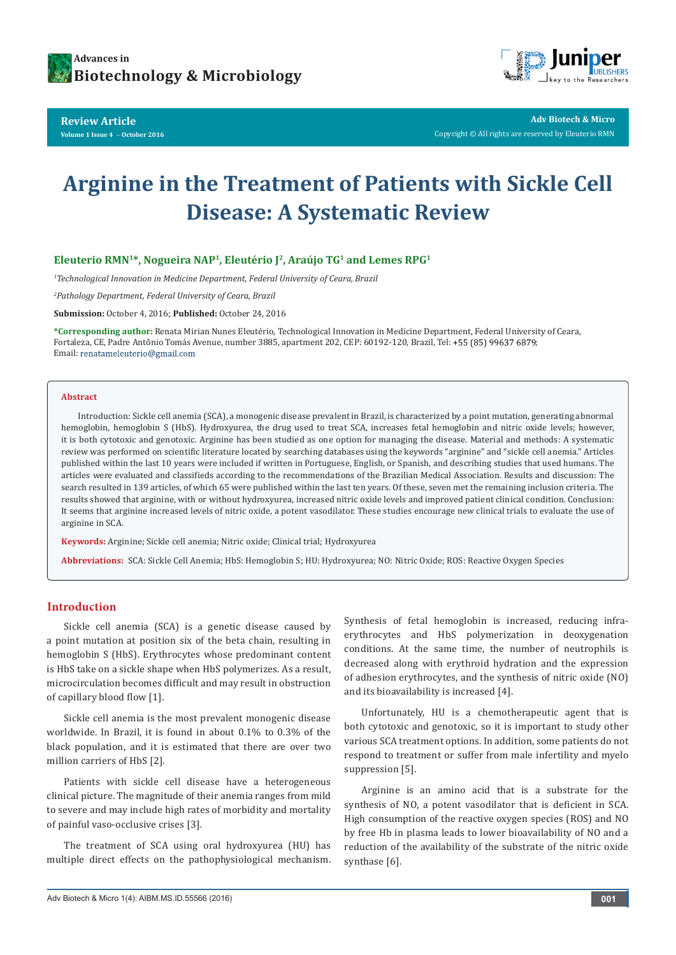

**Review Article Volume 1 Issue 4** - **October 2016**



**Adv Biotech & Micro** Copyright © All rights are reserved by Eleuterio RMN

# **Arginine in the Treatment of Patients with Sickle Cell Disease: A Systematic Review**

# Eleuterio RMN<sup>1\*</sup>, Nogueira NAP<sup>1</sup>, Eleutério J<sup>2</sup>, Araújo TG<sup>1</sup> and Lemes RPG<sup>1</sup>

*1 Technological Innovation in Medicine Department, Federal University of Ceara, Brazil*

*2 Pathology Department, Federal University of Ceara, Brazil*

**Submission:** October 4, 2016; **Published:** October 24, 2016

**\*Corresponding author:** Renata Mirian Nunes Eleutério, Technological Innovation in Medicine Department, Federal University of Ceara, Fortaleza, CE, Padre Antônio Tomás Avenue, number 3885, apartment 202, CEP: 60192-120, Brazil, Tel: +55 (85) 99637 6879; Email: renatameleuterio@gmail.com

#### **Abstract**

Introduction: Sickle cell anemia (SCA), a monogenic disease prevalent in Brazil, is characterized by a point mutation, generating abnormal hemoglobin, hemoglobin S (HbS). Hydroxyurea, the drug used to treat SCA, increases fetal hemoglobin and nitric oxide levels; however, it is both cytotoxic and genotoxic. Arginine has been studied as one option for managing the disease. Material and methods: A systematic review was performed on scientific literature located by searching databases using the keywords "arginine" and "sickle cell anemia." Articles published within the last 10 years were included if written in Portuguese, English, or Spanish, and describing studies that used humans. The articles were evaluated and classifieds according to the recommendations of the Brazilian Medical Association. Results and discussion: The search resulted in 139 articles, of which 65 were published within the last ten years. Of these, seven met the remaining inclusion criteria. The results showed that arginine, with or without hydroxyurea, increased nitric oxide levels and improved patient clinical condition. Conclusion: It seems that arginine increased levels of nitric oxide, a potent vasodilator. These studies encourage new clinical trials to evaluate the use of arginine in SCA.

**Keywords:** Arginine; Sickle cell anemia; Nitric oxide; Clinical trial; Hydroxyurea

**Abbreviations:** SCA: Sickle Cell Anemia; HbS: Hemoglobin S; HU: Hydroxyurea; NO: Nitric Oxide; ROS: Reactive Oxygen Species

#### **Introduction**

Sickle cell anemia (SCA) is a genetic disease caused by a point mutation at position six of the beta chain, resulting in hemoglobin S (HbS). Erythrocytes whose predominant content is HbS take on a sickle shape when HbS polymerizes. As a result, microcirculation becomes difficult and may result in obstruction of capillary blood flow [1].

Sickle cell anemia is the most prevalent monogenic disease worldwide. In Brazil, it is found in about 0.1% to 0.3% of the black population, and it is estimated that there are over two million carriers of HbS [2].

Patients with sickle cell disease have a heterogeneous clinical picture. The magnitude of their anemia ranges from mild to severe and may include high rates of morbidity and mortality of painful vaso-occlusive crises [3].

The treatment of SCA using oral hydroxyurea (HU) has multiple direct effects on the pathophysiological mechanism. Synthesis of fetal hemoglobin is increased, reducing infraerythrocytes and HbS polymerization in deoxygenation conditions. At the same time, the number of neutrophils is decreased along with erythroid hydration and the expression of adhesion erythrocytes, and the synthesis of nitric oxide (NO) and its bioavailability is increased [4].

Unfortunately, HU is a chemotherapeutic agent that is both cytotoxic and genotoxic, so it is important to study other various SCA treatment options. In addition, some patients do not respond to treatment or suffer from male infertility and myelo suppression [5].

Arginine is an amino acid that is a substrate for the synthesis of NO, a potent vasodilator that is deficient in SCA. High consumption of the reactive oxygen species (ROS) and NO by free Hb in plasma leads to lower bioavailability of NO and a reduction of the availability of the substrate of the nitric oxide synthase [6].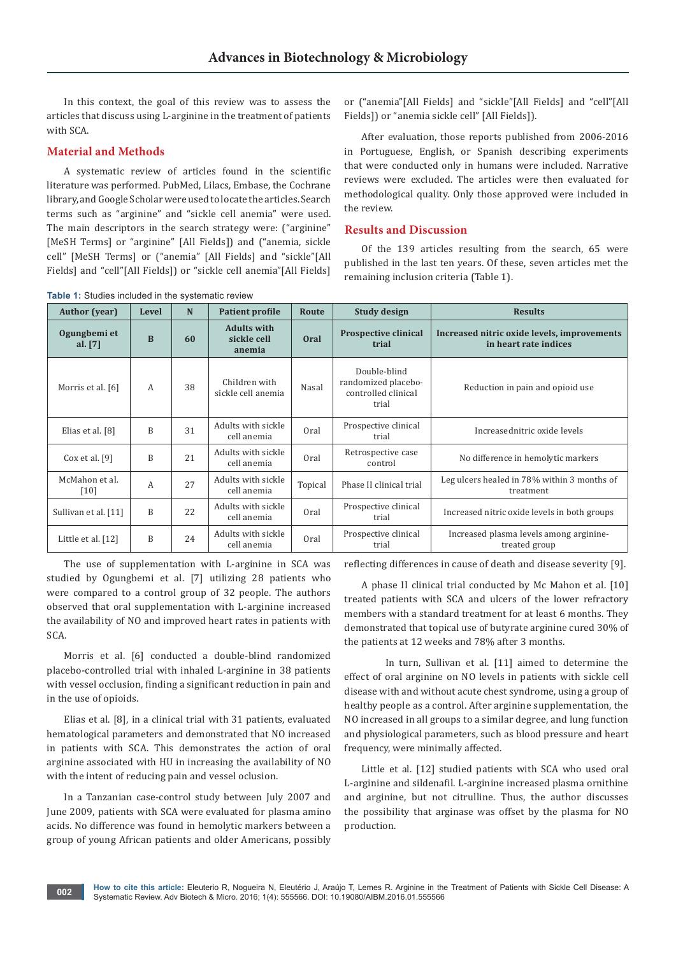In this context, the goal of this review was to assess the articles that discuss using L-arginine in the treatment of patients with SCA.

### **Material and Methods**

A systematic review of articles found in the scientific literature was performed. PubMed, Lilacs, Embase, the Cochrane library, and Google Scholar were used to locate the articles. Search terms such as "arginine" and "sickle cell anemia" were used. The main descriptors in the search strategy were: ("arginine" [MeSH Terms] or "arginine" [All Fields]) and ("anemia, sickle cell" [MeSH Terms] or ("anemia" [All Fields] and "sickle"[All Fields] and "cell"[All Fields]) or "sickle cell anemia"[All Fields]

**Table 1:** Studies included in the systematic review

or ("anemia"[All Fields] and "sickle"[All Fields] and "cell"[All Fields]) or "anemia sickle cell" [All Fields]).

After evaluation, those reports published from 2006-2016 in Portuguese, English, or Spanish describing experiments that were conducted only in humans were included. Narrative reviews were excluded. The articles were then evaluated for methodological quality. Only those approved were included in the review.

# **Results and Discussion**

Of the 139 articles resulting from the search, 65 were published in the last ten years. Of these, seven articles met the remaining inclusion criteria (Table 1).

| <b>Rapic 1.</b> Oldules included in the systematic review |          |    |                                             |             |                                                                     |                                                                      |
|-----------------------------------------------------------|----------|----|---------------------------------------------|-------------|---------------------------------------------------------------------|----------------------------------------------------------------------|
| <b>Author</b> (year)                                      | Level    | N  | <b>Patient profile</b>                      | Route       | <b>Study design</b>                                                 | <b>Results</b>                                                       |
| Ogungbemi et<br>al. $[7]$                                 | $\bf{B}$ | 60 | <b>Adults with</b><br>sickle cell<br>anemia | <b>Oral</b> | <b>Prospective clinical</b><br>trial                                | Increased nitric oxide levels, improvements<br>in heart rate indices |
| Morris et al. [6]                                         | A        | 38 | Children with<br>sickle cell anemia         | Nasal       | Double-blind<br>randomized placebo-<br>controlled clinical<br>trial | Reduction in pain and opioid use                                     |
| Elias et al. [8]                                          | B        | 31 | Adults with sickle<br>cell anemia           | Oral        | Prospective clinical<br>trial                                       | Increasednitric oxide levels                                         |
| Cox et al. $[9]$                                          | B        | 21 | Adults with sickle<br>cell anemia           | Oral        | Retrospective case<br>control                                       | No difference in hemolytic markers                                   |
| McMahon et al.<br>[10]                                    | A        | 27 | Adults with sickle<br>cell anemia           | Topical     | Phase II clinical trial                                             | Leg ulcers healed in 78% within 3 months of<br>treatment             |
| Sullivan et al. [11]                                      | B        | 22 | Adults with sickle<br>cell anemia           | Oral        | Prospective clinical<br>trial                                       | Increased nitric oxide levels in both groups                         |
| Little et al. [12]                                        | B        | 24 | Adults with sickle<br>cell anemia           | Oral        | Prospective clinical<br>trial                                       | Increased plasma levels among arginine-<br>treated group             |

The use of supplementation with L-arginine in SCA was studied by Ogungbemi et al. [7] utilizing 28 patients who were compared to a control group of 32 people. The authors observed that oral supplementation with L-arginine increased the availability of NO and improved heart rates in patients with SCA.

Morris et al. [6] conducted a double-blind randomized placebo-controlled trial with inhaled L-arginine in 38 patients with vessel occlusion, finding a significant reduction in pain and in the use of opioids.

Elias et al. [8], in a clinical trial with 31 patients, evaluated hematological parameters and demonstrated that NO increased in patients with SCA. This demonstrates the action of oral arginine associated with HU in increasing the availability of NO with the intent of reducing pain and vessel oclusion.

In a Tanzanian case-control study between July 2007 and June 2009, patients with SCA were evaluated for plasma amino acids. No difference was found in hemolytic markers between a group of young African patients and older Americans, possibly

reflecting differences in cause of death and disease severity [9].

A phase II clinical trial conducted by Mc Mahon et al. [10] treated patients with SCA and ulcers of the lower refractory members with a standard treatment for at least 6 months. They demonstrated that topical use of butyrate arginine cured 30% of the patients at 12 weeks and 78% after 3 months.

In turn, Sullivan et al. [11] aimed to determine the effect of oral arginine on NO levels in patients with sickle cell disease with and without acute chest syndrome, using a group of healthy people as a control. After arginine supplementation, the NO increased in all groups to a similar degree, and lung function and physiological parameters, such as blood pressure and heart frequency, were minimally affected.

Little et al. [12] studied patients with SCA who used oral L-arginine and sildenafil. L-arginine increased plasma ornithine and arginine, but not citrulline. Thus, the author discusses the possibility that arginase was offset by the plasma for NO production.